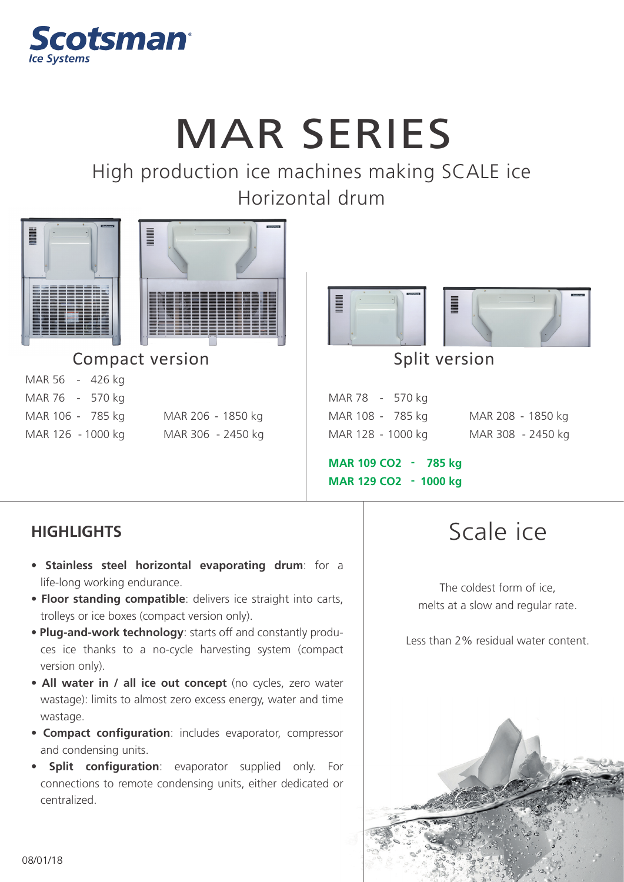

# MAR SERIES

### High production ice machines making SCALE ice Horizontal drum





Compact version and Split version

MAR 56 - 426 kg MAR 76 - 570 kg MAR 106 - 785 kg MAR 126 - 1000 kg

MAR 206 - 1850 kg MAR 306 - 2450 kg





MAR 78 - 570 kg MAR 108 - 785 kg MAR 128 - 1000 kg

MAR 208 - 1850 kg MAR 308 - 2450 kg

 **- MAR 109 CO2 785 kg MAR 129 CO2 - 1000 kg** 

#### **HIGHLIGHTS**

- **Stainless steel horizontal evaporating drum**: for a life-long working endurance.
- **Floor standing compatible**: delivers ice straight into carts, trolleys or ice boxes (compact version only).
- **Plug-and-work technology**: starts off and constantly produces ice thanks to a no-cycle harvesting system (compact version only).
- **All water in / all ice out concept** (no cycles, zero water wastage): limits to almost zero excess energy, water and time wastage.
- **Compact configuration**: includes evaporator, compressor and condensing units.
- **Split configuration**: evaporator supplied only. For connections to remote condensing units, either dedicated or centralized.

### Scale ice

The coldest form of ice, melts at a slow and regular rate.

Less than 2% residual water content.